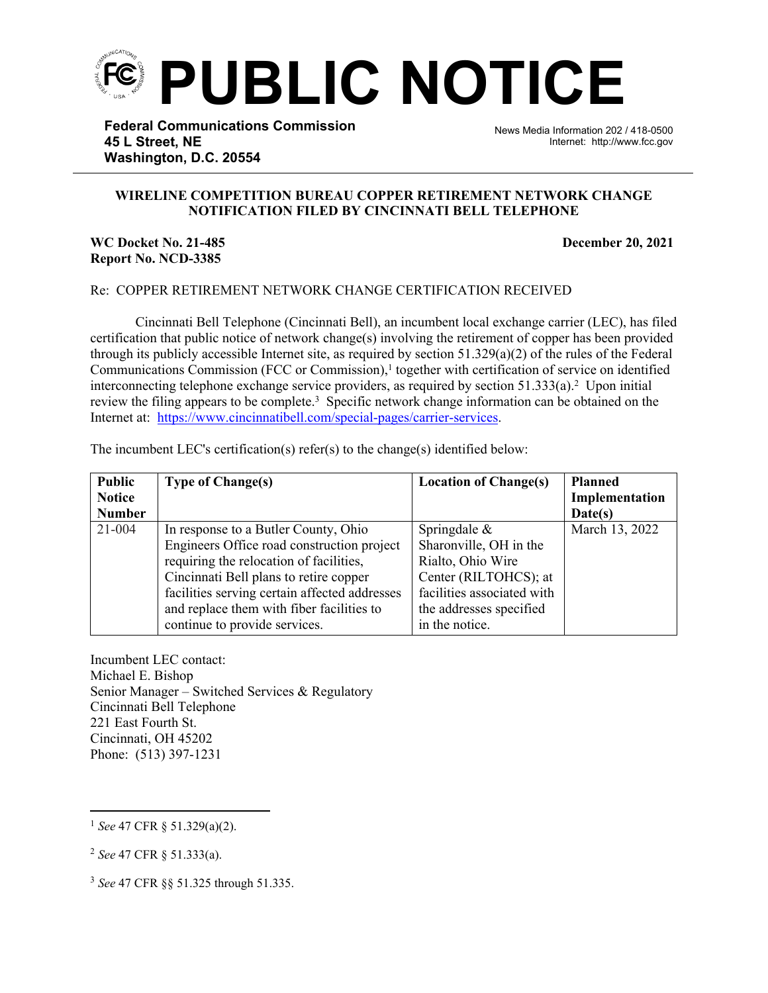

**Federal Communications Commission 45 L Street, NE Washington, D.C. 20554**

News Media Information 202 / 418-0500 Internet: http://www.fcc.gov

## **WIRELINE COMPETITION BUREAU COPPER RETIREMENT NETWORK CHANGE NOTIFICATION FILED BY CINCINNATI BELL TELEPHONE**

֡֡֡֡

## **WC Docket No. 21-485 December 20, 2021 Report No. NCD-3385**

## Re: COPPER RETIREMENT NETWORK CHANGE CERTIFICATION RECEIVED

Cincinnati Bell Telephone (Cincinnati Bell), an incumbent local exchange carrier (LEC), has filed certification that public notice of network change(s) involving the retirement of copper has been provided through its publicly accessible Internet site, as required by section  $51.329(a)(2)$  of the rules of the Federal Communications Commission (FCC or Commission),<sup>1</sup> together with certification of service on identified interconnecting telephone exchange service providers, as required by section  $51.333(a)$ .<sup>2</sup> Upon initial review the filing appears to be complete.<sup>3</sup> Specific network change information can be obtained on the Internet at: https://www.cincinnatibell.com/special-pages/carrier-services.

| <b>Public</b> | <b>Type of Change(s)</b>                      | <b>Location of Change(s)</b> | <b>Planned</b> |
|---------------|-----------------------------------------------|------------------------------|----------------|
| <b>Notice</b> |                                               |                              | Implementation |
| <b>Number</b> |                                               |                              | Date(s)        |
| $21 - 004$    | In response to a Butler County, Ohio          | Springdale $\&$              | March 13, 2022 |
|               | Engineers Office road construction project    | Sharonville, OH in the       |                |
|               | requiring the relocation of facilities,       | Rialto, Ohio Wire            |                |
|               | Cincinnati Bell plans to retire copper        | Center (RILTOHCS); at        |                |
|               | facilities serving certain affected addresses | facilities associated with   |                |
|               | and replace them with fiber facilities to     | the addresses specified      |                |
|               | continue to provide services.                 | in the notice.               |                |

Incumbent LEC contact: Michael E. Bishop Senior Manager – Switched Services & Regulatory Cincinnati Bell Telephone 221 East Fourth St. Cincinnati, OH 45202 Phone: (513) 397-1231

<sup>1</sup> *See* 47 CFR § 51.329(a)(2).

<sup>2</sup> *See* 47 CFR § 51.333(a).

<sup>3</sup> *See* 47 CFR §§ 51.325 through 51.335.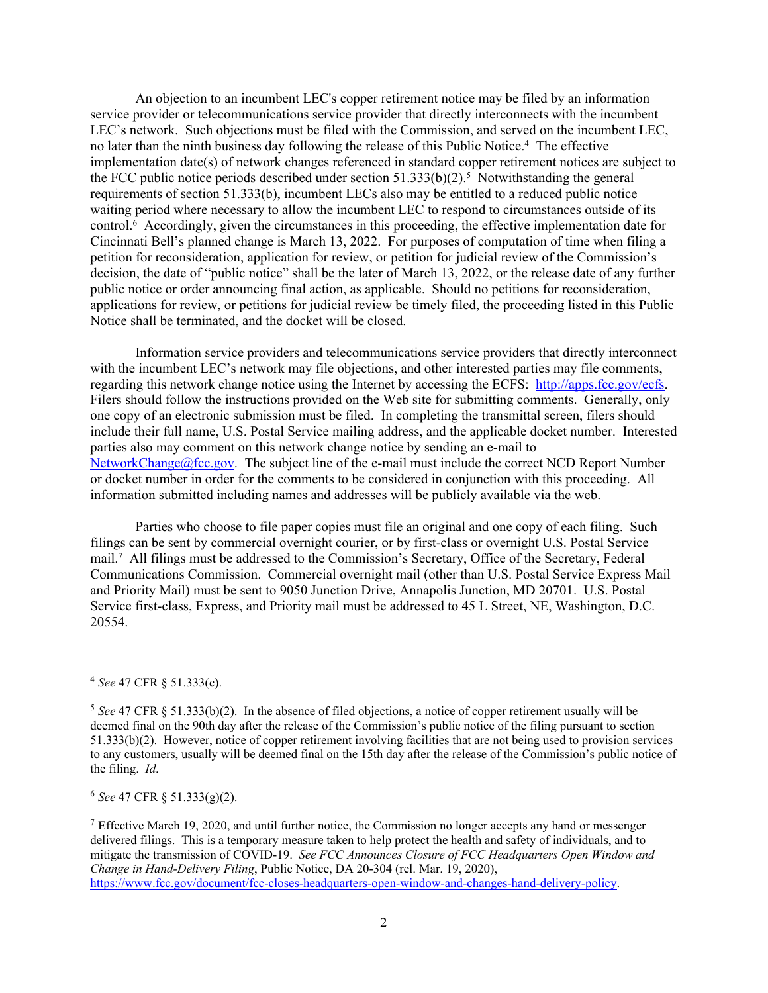An objection to an incumbent LEC's copper retirement notice may be filed by an information service provider or telecommunications service provider that directly interconnects with the incumbent LEC's network. Such objections must be filed with the Commission, and served on the incumbent LEC, no later than the ninth business day following the release of this Public Notice.<sup>4</sup> The effective implementation date(s) of network changes referenced in standard copper retirement notices are subject to the FCC public notice periods described under section  $51.333(b)(2)$ .<sup>5</sup> Notwithstanding the general requirements of section 51.333(b), incumbent LECs also may be entitled to a reduced public notice waiting period where necessary to allow the incumbent LEC to respond to circumstances outside of its control.<sup>6</sup> Accordingly, given the circumstances in this proceeding, the effective implementation date for Cincinnati Bell's planned change is March 13, 2022. For purposes of computation of time when filing a petition for reconsideration, application for review, or petition for judicial review of the Commission's decision, the date of "public notice" shall be the later of March 13, 2022, or the release date of any further public notice or order announcing final action, as applicable. Should no petitions for reconsideration, applications for review, or petitions for judicial review be timely filed, the proceeding listed in this Public Notice shall be terminated, and the docket will be closed.

Information service providers and telecommunications service providers that directly interconnect with the incumbent LEC's network may file objections, and other interested parties may file comments, regarding this network change notice using the Internet by accessing the ECFS: [http://apps.fcc.gov/ecfs.](http://apps.fcc.gov/ecfs) Filers should follow the instructions provided on the Web site for submitting comments. Generally, only one copy of an electronic submission must be filed. In completing the transmittal screen, filers should include their full name, U.S. Postal Service mailing address, and the applicable docket number. Interested parties also may comment on this network change notice by sending an e-mail to [NetworkChange@fcc.gov.](mailto:NetworkChange@fcc.gov) The subject line of the e-mail must include the correct NCD Report Number or docket number in order for the comments to be considered in conjunction with this proceeding. All information submitted including names and addresses will be publicly available via the web.

Parties who choose to file paper copies must file an original and one copy of each filing. Such filings can be sent by commercial overnight courier, or by first-class or overnight U.S. Postal Service mail.<sup>7</sup> All filings must be addressed to the Commission's Secretary, Office of the Secretary, Federal Communications Commission. Commercial overnight mail (other than U.S. Postal Service Express Mail and Priority Mail) must be sent to 9050 Junction Drive, Annapolis Junction, MD 20701. U.S. Postal Service first-class, Express, and Priority mail must be addressed to 45 L Street, NE, Washington, D.C. 20554.

<sup>6</sup> *See* 47 CFR § 51.333(g)(2).

<sup>7</sup> Effective March 19, 2020, and until further notice, the Commission no longer accepts any hand or messenger delivered filings. This is a temporary measure taken to help protect the health and safety of individuals, and to mitigate the transmission of COVID-19. *See FCC Announces Closure of FCC Headquarters Open Window and Change in Hand-Delivery Filing*, Public Notice, DA 20-304 (rel. Mar. 19, 2020), [https://www.fcc.gov/document/fcc-closes-headquarters-open-window-and-changes-hand-delivery-policy.](https://www.fcc.gov/document/fcc-closes-headquarters-open-window-and-changes-hand-delivery-policy)

<sup>4</sup> *See* 47 CFR § 51.333(c).

<sup>5</sup> *See* 47 CFR § 51.333(b)(2). In the absence of filed objections, a notice of copper retirement usually will be deemed final on the 90th day after the release of the Commission's public notice of the filing pursuant to section 51.333(b)(2). However, notice of copper retirement involving facilities that are not being used to provision services to any customers, usually will be deemed final on the 15th day after the release of the Commission's public notice of the filing. *Id*.